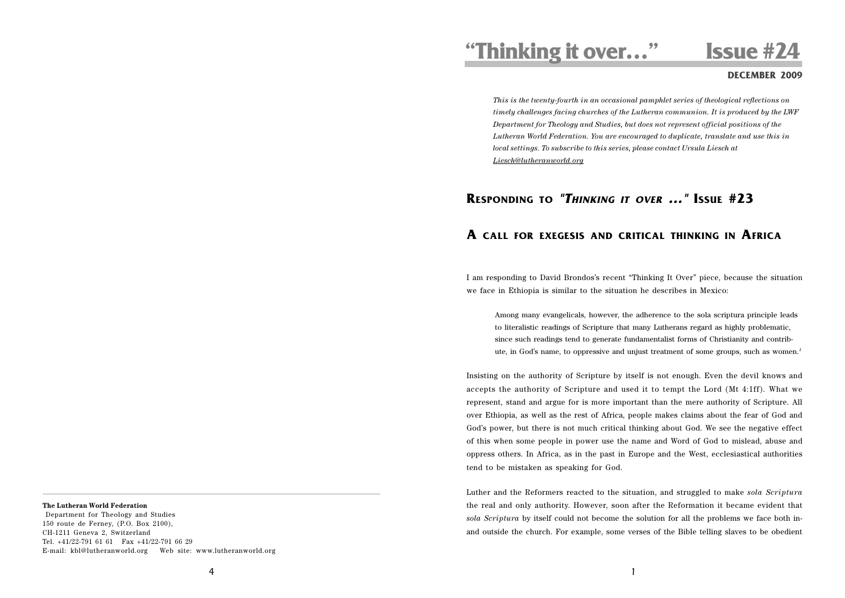# **"Thinking it over…" Issue #24**

### **DECEMBER 2009**

*This is the twenty-fourth in an occasional pamphlet series of theological reflections on timely challenges facing churches of the Lutheran communion. It is produced by the LWF Department for Theology and Studies, but does not represent official positions of the Lutheran World Federation. You are encouraged to duplicate, translate and use this in local settings. To subscribe to this series, please contact Ursula Liesch at Liesch@lutheranworld.org*

# **RESPONDING TO "THINKING IT OVER …" ISSUE #23**

# **A CALL FOR EXEGESIS AND CRITICAL THINKING IN AFRICA**

I am responding to David Brondos's recent "Thinking It Over" piece, because the situation we face in Ethiopia is similar to the situation he describes in Mexico:

Among many evangelicals, however, the adherence to the sola scriptura principle leads to literalistic readings of Scripture that many Lutherans regard as highly problematic, since such readings tend to generate fundamentalist forms of Christianity and contribute, in God's name, to oppressive and unjust treatment of some groups, such as women.*<sup>1</sup>*

Insisting on the authority of Scripture by itself is not enough. Even the devil knows and accepts the authority of Scripture and used it to tempt the Lord (Mt 4:1ff). What we represent, stand and argue for is more important than the mere authority of Scripture. All over Ethiopia, as well as the rest of Africa, people makes claims about the fear of God and God's power, but there is not much critical thinking about God. We see the negative effect of this when some people in power use the name and Word of God to mislead, abuse and oppress others. In Africa, as in the past in Europe and the West, ecclesiastical authorities tend to be mistaken as speaking for God.

Luther and the Reformers reacted to the situation, and struggled to make *sola Scriptura* the real and only authority. However, soon after the Reformation it became evident that *sola Scriptura* by itself could not become the solution for all the problems we face both inand outside the church. For example, some verses of the Bible telling slaves to be obedient

#### **The Lutheran World Federation**

 Department for Theology and Studies 150 route de Ferney, (P.O. Box 2100), CH-1211 Geneva 2, Switzerland Tel. +41/22-791 61 61 Fax +41/22-791 66 29 E-mail: kbl@lutheranworld.org Web site: www.lutheranworld.org